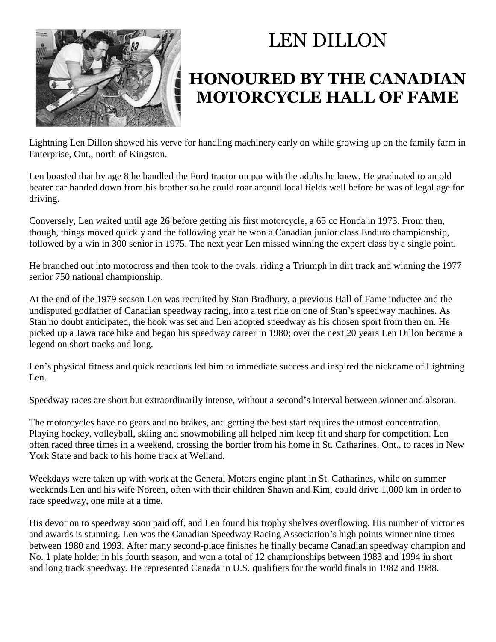

## LEN DILLON

## **HONOURED BY THE CANADIAN MOTORCYCLE HALL OF FAME**

Lightning Len Dillon showed his verve for handling machinery early on while growing up on the family farm in Enterprise, Ont., north of Kingston.

Len boasted that by age 8 he handled the Ford tractor on par with the adults he knew. He graduated to an old beater car handed down from his brother so he could roar around local fields well before he was of legal age for driving.

Conversely, Len waited until age 26 before getting his first motorcycle, a 65 cc Honda in 1973. From then, though, things moved quickly and the following year he won a Canadian junior class Enduro championship, followed by a win in 300 senior in 1975. The next year Len missed winning the expert class by a single point.

He branched out into motocross and then took to the ovals, riding a Triumph in dirt track and winning the 1977 senior 750 national championship.

At the end of the 1979 season Len was recruited by Stan Bradbury, a previous Hall of Fame inductee and the undisputed godfather of Canadian speedway racing, into a test ride on one of Stan's speedway machines. As Stan no doubt anticipated, the hook was set and Len adopted speedway as his chosen sport from then on. He picked up a Jawa race bike and began his speedway career in 1980; over the next 20 years Len Dillon became a legend on short tracks and long.

Len's physical fitness and quick reactions led him to immediate success and inspired the nickname of Lightning Len.

Speedway races are short but extraordinarily intense, without a second's interval between winner and alsoran.

The motorcycles have no gears and no brakes, and getting the best start requires the utmost concentration. Playing hockey, volleyball, skiing and snowmobiling all helped him keep fit and sharp for competition. Len often raced three times in a weekend, crossing the border from his home in St. Catharines, Ont., to races in New York State and back to his home track at Welland.

Weekdays were taken up with work at the General Motors engine plant in St. Catharines, while on summer weekends Len and his wife Noreen, often with their children Shawn and Kim, could drive 1,000 km in order to race speedway, one mile at a time.

His devotion to speedway soon paid off, and Len found his trophy shelves overflowing. His number of victories and awards is stunning. Len was the Canadian Speedway Racing Association's high points winner nine times between 1980 and 1993. After many second-place finishes he finally became Canadian speedway champion and No. 1 plate holder in his fourth season, and won a total of 12 championships between 1983 and 1994 in short and long track speedway. He represented Canada in U.S. qualifiers for the world finals in 1982 and 1988.